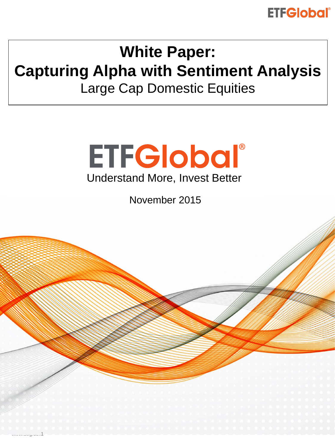# **ETFGlobal®**

# **White Paper: Capturing Alpha with Sentiment Analysis**

Large Cap Domestic Equities



November 2015

www.cog.com1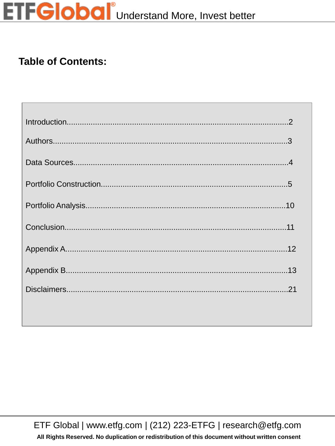# **ETFGlobal**<sup>®</sup>Understand More, Invest better

#### **Table of Contents:**

ETF Global | www.etfg.com | (212) 223-ETFG | research@etfg.com

All Rights Reserved. No duplication or redistribution of this document without written consent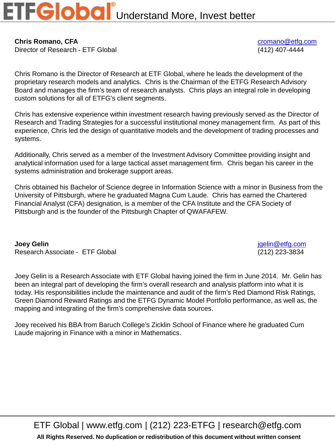**Chris Romano, CFA** [cromano@etfg.com](mailto:cromano@etfg.com) Director of Research - ETF Global (412) 407-4444

Chris Romano is the Director of Research at ETF Global, where he leads the development of the proprietary research models and analytics. Chris is the Chairman of the ETFG Research Advisory Board and manages the firm's team of research analysts. Chris plays an integral role in developing custom solutions for all of ETFG's client segments.

Chris has extensive experience within investment research having previously served as the Director of Research and Trading Strategies for a successful institutional money management firm. As part of this experience, Chris led the design of quantitative models and the development of trading processes and systems.

Additionally, Chris served as a member of the Investment Advisory Committee providing insight and analytical information used for a large tactical asset management firm. Chris began his career in the systems administration and brokerage support areas.

Chris obtained his Bachelor of Science degree in Information Science with a minor in Business from the University of Pittsburgh, where he graduated Magna Cum Laude. Chris has earned the Chartered Financial Analyst (CFA) designation, is a member of the CFA Institute and the CFA Society of Pittsburgh and is the founder of the Pittsburgh Chapter of QWAFAFEW.

**Joey Gelin** [jgelin@etfg.com](mailto:jgelin@etfg.com) Research Associate - ETF Global (212) 223-3834

Joey Gelin is a Research Associate with ETF Global having joined the firm in June 2014. Mr. Gelin has been an integral part of developing the firm's overall research and analysis platform into what it is today. His responsibilities include the maintenance and audit of the firm's Red Diamond Risk Ratings, Green Diamond Reward Ratings and the ETFG Dynamic Model Portfolio performance, as well as, the mapping and integrating of the firm's comprehensive data sources.

Joey received his BBA from Baruch College's Zicklin School of Finance where he graduated Cum Laude majoring in Finance with a minor in Mathematics.

ETF Global | www.etfg.com | (212) 223-ETFG | research@etfg.com

**All Rights Reserved. No duplication or redistribution of this document without written consent**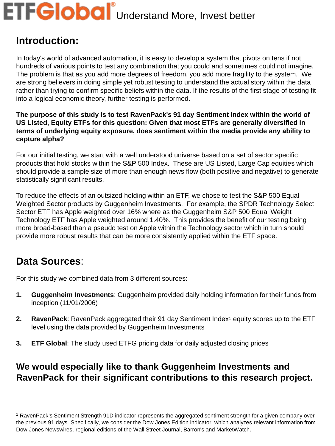#### **Introduction:**

In today's world of advanced automation, it is easy to develop a system that pivots on tens if not hundreds of various points to test any combination that you could and sometimes could not imagine. The problem is that as you add more degrees of freedom, you add more fragility to the system. We are strong believers in doing simple yet robust testing to understand the actual story within the data rather than trying to confirm specific beliefs within the data. If the results of the first stage of testing fit into a logical economic theory, further testing is performed.

**The purpose of this study is to test RavenPack's 91 day Sentiment Index within the world of US Listed, Equity ETFs for this question: Given that most ETFs are generally diversified in terms of underlying equity exposure, does sentiment within the media provide any ability to capture alpha?**

For our initial testing, we start with a well understood universe based on a set of sector specific products that hold stocks within the S&P 500 Index. These are US Listed, Large Cap equities which should provide a sample size of more than enough news flow (both positive and negative) to generate statistically significant results.

To reduce the effects of an outsized holding within an ETF, we chose to test the S&P 500 Equal Weighted Sector products by Guggenheim Investments. For example, the SPDR Technology Select Sector ETF has Apple weighted over 16% where as the Guggenheim S&P 500 Equal Weight Technology ETF has Apple weighted around 1.40%. This provides the benefit of our testing being more broad-based than a pseudo test on Apple within the Technology sector which in turn should provide more robust results that can be more consistently applied within the ETF space.

#### **Data Sources**:

For this study we combined data from 3 different sources:

- **1. Guggenheim Investments**: Guggenheim provided daily holding information for their funds from inception (11/01/2006)
- **2.** RavenPack: RavenPack aggregated their 91 day Sentiment Index<sup>1</sup> equity scores up to the ETF level using the data provided by Guggenheim Investments
- **3. ETF Global**: The study used ETFG pricing data for daily adjusted closing prices

#### **We would especially like to thank Guggenheim Investments and RavenPack for their significant contributions to this research project.**

<sup>1</sup> RavenPack's Sentiment Strength 91D indicator represents the aggregated sentiment strength for a given company over the previous 91 days. Specifically, we consider the Dow Jones Edition indicator, which analyzes relevant information from Dow Jones Newswires, regional editions of the Wall Street Journal, Barron's and MarketWatch.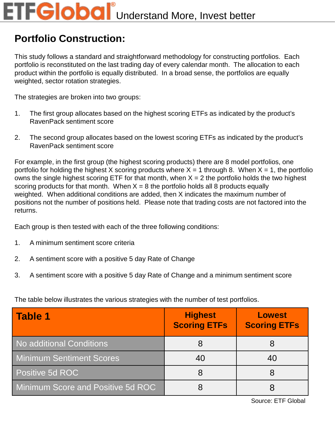#### **Portfolio Construction:**

This study follows a standard and straightforward methodology for constructing portfolios. Each portfolio is reconstituted on the last trading day of every calendar month. The allocation to each product within the portfolio is equally distributed. In a broad sense, the portfolios are equally weighted, sector rotation strategies.

The strategies are broken into two groups:

- 1. The first group allocates based on the highest scoring ETFs as indicated by the product's RavenPack sentiment score
- 2. The second group allocates based on the lowest scoring ETFs as indicated by the product's RavenPack sentiment score

For example, in the first group (the highest scoring products) there are 8 model portfolios, one portfolio for holding the highest X scoring products where  $X = 1$  through 8. When  $X = 1$ , the portfolio owns the single highest scoring ETF for that month, when  $X = 2$  the portfolio holds the two highest scoring products for that month. When  $X = 8$  the portfolio holds all 8 products equally weighted. When additional conditions are added, then X indicates the maximum number of positions not the number of positions held. Please note that trading costs are not factored into the returns.

Each group is then tested with each of the three following conditions:

- 1. A minimum sentiment score criteria
- 2. A sentiment score with a positive 5 day Rate of Change
- 3. A sentiment score with a positive 5 day Rate of Change and a minimum sentiment score

The table below illustrates the various strategies with the number of test portfolios.

| <b>Table 1</b>                    | <b>Highest</b><br><b>Scoring ETFs</b> | <b>Lowest</b><br><b>Scoring ETFs</b> |
|-----------------------------------|---------------------------------------|--------------------------------------|
| No additional Conditions          |                                       |                                      |
| <b>Minimum Sentiment Scores</b>   |                                       | 40                                   |
| Positive 5d ROC                   |                                       |                                      |
| Minimum Score and Positive 5d ROC |                                       |                                      |

Source: ETF Global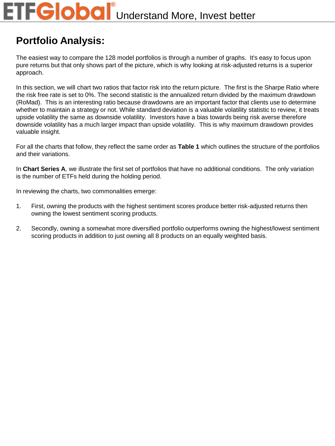# **FGlobal** Understand More, Invest better

#### **Portfolio Analysis:**

The easiest way to compare the 128 model portfolios is through a number of graphs. It's easy to focus upon pure returns but that only shows part of the picture, which is why looking at risk-adjusted returns is a superior approach.

In this section, we will chart two ratios that factor risk into the return picture. The first is the Sharpe Ratio where the risk free rate is set to 0%. The second statistic is the annualized return divided by the maximum drawdown (RoMad). This is an interesting ratio because drawdowns are an important factor that clients use to determine whether to maintain a strategy or not. While standard deviation is a valuable volatility statistic to review, it treats upside volatility the same as downside volatility. Investors have a bias towards being risk averse therefore downside volatility has a much larger impact than upside volatility. This is why maximum drawdown provides valuable insight.

For all the charts that follow, they reflect the same order as **Table 1** which outlines the structure of the portfolios and their variations.

In **Chart Series A**, we illustrate the first set of portfolios that have no additional conditions. The only variation is the number of ETFs held during the holding period.

In reviewing the charts, two commonalities emerge:

- 1. First, owning the products with the highest sentiment scores produce better risk-adjusted returns then owning the lowest sentiment scoring products.
- 2. Secondly, owning a somewhat more diversified portfolio outperforms owning the highest/lowest sentiment scoring products in addition to just owning all 8 products on an equally weighted basis.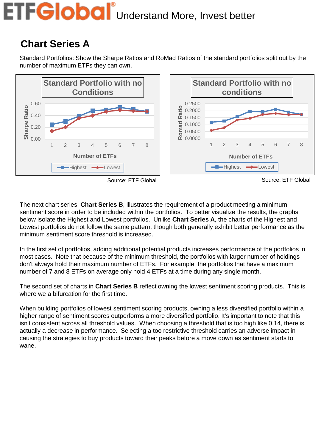#### FGlobal Understand More, Invest better

#### **Chart Series A**

Standard Portfolios: Show the Sharpe Ratios and RoMad Ratios of the standard portfolios split out by the number of maximum ETFs they can own.







The next chart series, **Chart Series B**, illustrates the requirement of a product meeting a minimum sentiment score in order to be included within the portfolios. To better visualize the results, the graphs below isolate the Highest and Lowest portfolios. Unlike **Chart Series A**, the charts of the Highest and Lowest portfolios do not follow the same pattern, though both generally exhibit better performance as the minimum sentiment score threshold is increased.

In the first set of portfolios, adding additional potential products increases performance of the portfolios in most cases. Note that because of the minimum threshold, the portfolios with larger number of holdings don't always hold their maximum number of ETFs. For example, the portfolios that have a maximum number of 7 and 8 ETFs on average only hold 4 ETFs at a time during any single month.

The second set of charts in **Chart Series B** reflect owning the lowest sentiment scoring products. This is where we a bifurcation for the first time.

When building portfolios of lowest sentiment scoring products, owning a less diversified portfolio within a higher range of sentiment scores outperforms a more diversified portfolio. It's important to note that this isn't consistent across all threshold values. When choosing a threshold that is too high like 0.14, there is actually a decrease in performance. Selecting a too restrictive threshold carries an adverse impact in causing the strategies to buy products toward their peaks before a move down as sentiment starts to wane.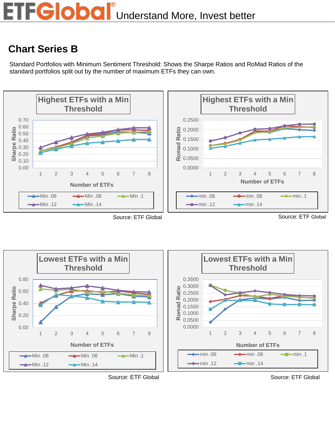#### **Chart Series B**

Standard Portfolios with Minimum Sentiment Threshold: Shows the Sharpe Ratios and RoMad Ratios of the standard portfolios split out by the number of maximum ETFs they can own.



Source: ETF Global Source: ETF Global Source: ETF Global Source: ETF Global





Source: ETF Global Source: ETF Global Source: ETF Global

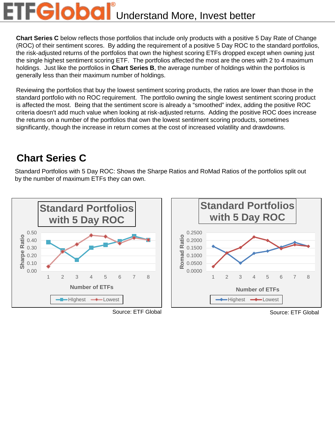# **FGlobal**<sup>®</sup>Understand More, Invest better

**Chart Series C** below reflects those portfolios that include only products with a positive 5 Day Rate of Change (ROC) of their sentiment scores. By adding the requirement of a positive 5 Day ROC to the standard portfolios, the risk-adjusted returns of the portfolios that own the highest scoring ETFs dropped except when owning just the single highest sentiment scoring ETF. The portfolios affected the most are the ones with 2 to 4 maximum holdings. Just like the portfolios in **Chart Series B**, the average number of holdings within the portfolios is generally less than their maximum number of holdings.

Reviewing the portfolios that buy the lowest sentiment scoring products, the ratios are lower than those in the standard portfolio with no ROC requirement. The portfolio owning the single lowest sentiment scoring product is affected the most. Being that the sentiment score is already a "smoothed" index, adding the positive ROC criteria doesn't add much value when looking at risk-adjusted returns. Adding the positive ROC does increase the returns on a number of the portfolios that own the lowest sentiment scoring products, sometimes significantly, though the increase in return comes at the cost of increased volatility and drawdowns.

#### **Chart Series C**

Standard Portfolios with 5 Day ROC: Shows the Sharpe Ratios and RoMad Ratios of the portfolios split out by the number of maximum ETFs they can own.



Source: ETF Global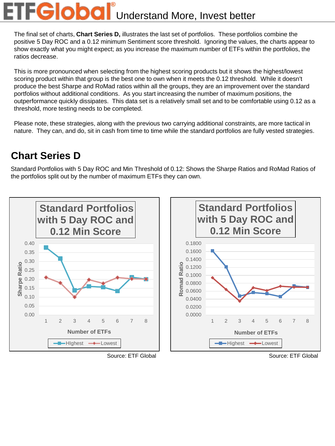# FGlobal<sup>®</sup>Understand More, Invest better

The final set of charts, **Chart Series D,** illustrates the last set of portfolios. These portfolios combine the positive 5 Day ROC and a 0.12 minimum Sentiment score threshold. Ignoring the values, the charts appear to show exactly what you might expect; as you increase the maximum number of ETFs within the portfolios, the ratios decrease.

This is more pronounced when selecting from the highest scoring products but it shows the highest/lowest scoring product within that group is the best one to own when it meets the 0.12 threshold. While it doesn't produce the best Sharpe and RoMad ratios within all the groups, they are an improvement over the standard portfolios without additional conditions. As you start increasing the number of maximum positions, the outperformance quickly dissipates. This data set is a relatively small set and to be comfortable using 0.12 as a threshold, more testing needs to be completed.

Please note, these strategies, along with the previous two carrying additional constraints, are more tactical in nature. They can, and do, sit in cash from time to time while the standard portfolios are fully vested strategies.

#### **Chart Series D**

Standard Portfolios with 5 Day ROC and Min Threshold of 0.12: Shows the Sharpe Ratios and RoMad Ratios of the portfolios split out by the number of maximum ETFs they can own.



Source: ETF Global Source: ETF Global Source: ETF Global Source: ETF Global Source: ETF Global Source: ETF Global Source: ETF Global Source: ETF Global Source: ETF Global Source: ETF Global Source: ETF Global Source: ETF G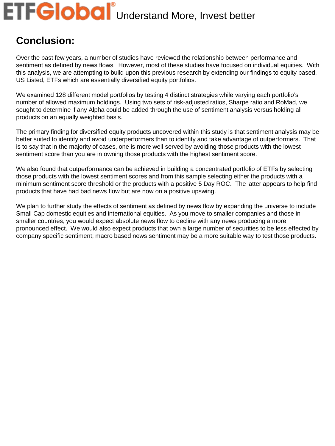#### **Conclusion:**

Over the past few years, a number of studies have reviewed the relationship between performance and sentiment as defined by news flows. However, most of these studies have focused on individual equities. With this analysis, we are attempting to build upon this previous research by extending our findings to equity based, US Listed, ETFs which are essentially diversified equity portfolios.

We examined 128 different model portfolios by testing 4 distinct strategies while varying each portfolio's number of allowed maximum holdings. Using two sets of risk-adjusted ratios, Sharpe ratio and RoMad, we sought to determine if any Alpha could be added through the use of sentiment analysis versus holding all products on an equally weighted basis.

The primary finding for diversified equity products uncovered within this study is that sentiment analysis may be better suited to identify and avoid underperformers than to identify and take advantage of outperformers. That is to say that in the majority of cases, one is more well served by avoiding those products with the lowest sentiment score than you are in owning those products with the highest sentiment score.

We also found that outperformance can be achieved in building a concentrated portfolio of ETFs by selecting those products with the lowest sentiment scores and from this sample selecting either the products with a minimum sentiment score threshold or the products with a positive 5 Day ROC. The latter appears to help find products that have had bad news flow but are now on a positive upswing.

We plan to further study the effects of sentiment as defined by news flow by expanding the universe to include Small Cap domestic equities and international equities. As you move to smaller companies and those in smaller countries, you would expect absolute news flow to decline with any news producing a more pronounced effect. We would also expect products that own a large number of securities to be less effected by company specific sentiment; macro based news sentiment may be a more suitable way to test those products.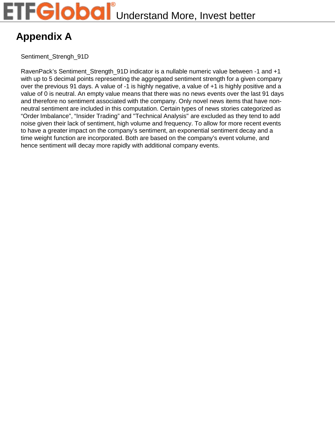# **Appendix A**

Sentiment Strengh 91D

RavenPack's Sentiment\_Strength\_91D indicator is a nullable numeric value between -1 and +1 with up to 5 decimal points representing the aggregated sentiment strength for a given company over the previous 91 days. A value of -1 is highly negative, a value of +1 is highly positive and a value of 0 is neutral. An empty value means that there was no news events over the last 91 days and therefore no sentiment associated with the company. Only novel news items that have nonneutral sentiment are included in this computation. Certain types of news stories categorized as "Order Imbalance", "Insider Trading" and "Technical Analysis" are excluded as they tend to add noise given their lack of sentiment, high volume and frequency. To allow for more recent events to have a greater impact on the company's sentiment, an exponential sentiment decay and a time weight function are incorporated. Both are based on the company's event volume, and hence sentiment will decay more rapidly with additional company events.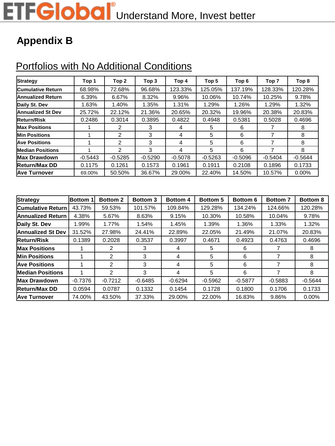# ETFGlobal<sup>®</sup>Understand More, Invest better

#### **Appendix B**

# Portfolios with No Additional Conditions

| <b>Strategy</b>          | Top 1     | Top 2          | Top 3     | Top 4     | Top 5     | Top 6     | Top 7     | Top 8     |
|--------------------------|-----------|----------------|-----------|-----------|-----------|-----------|-----------|-----------|
| <b>Cumulative Return</b> | 68.98%    | 72.68%         | 96.68%    | 123.33%   | 125.05%   | 137.19%   | 128.33%   | 120.28%   |
| <b>Annualized Return</b> | 6.39%     | 6.67%          | 8.32%     | 9.96%     | 10.06%    | 10.74%    | 10.25%    | 9.78%     |
| Daily St. Dev            | 1.63%     | 1.40%          | 1.35%     | 1.31%     | 1.29%     | 1.26%     | 1.29%     | 1.32%     |
| <b>Annualized St Dev</b> | 25.72%    | 22.12%         | 21.36%    | 20.65%    | 20.32%    | 19.96%    | 20.38%    | 20.83%    |
| <b>Return/Risk</b>       | 0.2486    | 0.3014         | 0.3895    | 0.4822    | 0.4948    | 0.5381    | 0.5028    | 0.4696    |
| <b>Max Positions</b>     |           | 2              | 3         | 4         | 5         | 6         |           | 8         |
| <b>Min Positions</b>     |           | $\overline{2}$ | 3         | 4         | 5         | 6         |           | 8         |
| <b>Ave Positions</b>     |           | 2              | 3         | 4         | 5         | 6         |           | 8         |
| <b>Median Positions</b>  |           | 2              | 3         | 4         | 5         | 6         | 7         | 8         |
| <b>Max Drawdown</b>      | $-0.5443$ | $-0.5285$      | $-0.5290$ | $-0.5078$ | $-0.5263$ | $-0.5096$ | $-0.5404$ | $-0.5644$ |
| <b>Return/Max DD</b>     | 0.1175    | 0.1261         | 0.1573    | 0.1961    | 0.1911    | 0.2108    | 0.1896    | 0.1733    |
| <b>Ave Turnover</b>      | 69.00%    | 50.50%         | 36.67%    | 29.00%    | 22.40%    | 14.50%    | 10.57%    | 0.00%     |

| <b>Strategy</b>          | <b>Bottom</b> 1 | <b>Bottom 2</b> | <b>Bottom 3</b> | <b>Bottom 4</b> | <b>Bottom 5</b> | <b>Bottom 6</b> | <b>Bottom 7</b> | <b>Bottom 8</b> |
|--------------------------|-----------------|-----------------|-----------------|-----------------|-----------------|-----------------|-----------------|-----------------|
| <b>Cumulative Return</b> | 43.73%          | 59.53%          | 101.57%         | 109.84%         | 129.28%         | 134.24%         | 124.66%         | 120.28%         |
| <b>Annualized Return</b> | 4.38%           | 5.67%           | 8.63%           | 9.15%           | 10.30%          | 10.58%          | 10.04%          | 9.78%           |
| Daily St. Dev            | 1.99%           | 1.77%           | 1.54%           | 1.45%           | 1.39%           | 1.36%           | 1.33%           | 1.32%           |
| <b>Annualized St Dev</b> | 31.52%          | 27.98%          | 24.41%          | 22.89%          | 22.05%          | 21.49%          | 21.07%          | 20.83%          |
| <b>Return/Risk</b>       | 0.1389          | 0.2028          | 0.3537          | 0.3997          | 0.4671          | 0.4923          | 0.4763          | 0.4696          |
| <b>Max Positions</b>     |                 | 2               | 3               | 4               | 5               | 6               |                 | 8               |
| <b>Min Positions</b>     |                 | 2               | 3               | 4               | 5               | 6               |                 | 8               |
| <b>Ave Positions</b>     |                 | 2               | 3               | 4               | 5               | 6               | 7               | 8               |
| <b>Median Positions</b>  |                 | 2               | 3               | 4               | 5               | 6               | 7               | 8               |
| <b>Max Drawdown</b>      | $-0.7376$       | $-0.7212$       | $-0.6485$       | $-0.6294$       | $-0.5962$       | $-0.5877$       | $-0.5883$       | $-0.5644$       |
| <b>Return/Max DD</b>     | 0.0594          | 0.0787          | 0.1332          | 0.1454          | 0.1728          | 0.1800          | 0.1706          | 0.1733          |
| <b>Ave Turnover</b>      | 74.00%          | 43.50%          | 37.33%          | 29.00%          | 22.00%          | 16.83%          | 9.86%           | 0.00%           |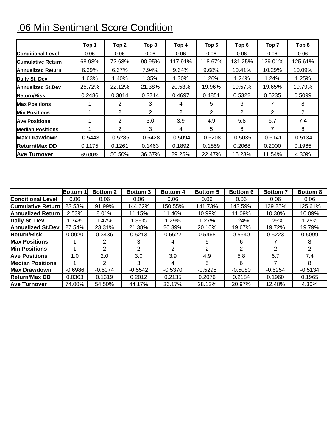# .06 Min Sentiment Score Condition

|                          | Top <sub>1</sub> | Top <sub>2</sub> | Top 3     | Top 4          | Top 5     | Top 6     | Top 7     | Top 8     |
|--------------------------|------------------|------------------|-----------|----------------|-----------|-----------|-----------|-----------|
| <b>Conditional Level</b> | 0.06             | 0.06             | 0.06      | 0.06           | 0.06      | 0.06      | 0.06      | 0.06      |
| <b>Cumulative Return</b> | 68.98%           | 72.68%           | 90.95%    | 117.91%        | 118.67%   | 131.25%   | 129.01%   | 125.61%   |
| <b>Annualized Return</b> | 6.39%            | 6.67%            | 7.94%     | 9.64%          | 9.68%     | 10.41%    | 10.29%    | 10.09%    |
| Daily St. Dev            | 1.63%            | 1.40%            | 1.35%     | 1.30%          | 1.26%     | 1.24%     | 1.24%     | 1.25%     |
| <b>Annualized St.Dev</b> | 25.72%           | 22.12%           | 21.38%    | 20.53%         | 19.96%    | 19.57%    | 19.65%    | 19.79%    |
| <b>Return/Risk</b>       | 0.2486           | 0.3014           | 0.3714    | 0.4697         | 0.4851    | 0.5322    | 0.5235    | 0.5099    |
| <b>Max Positions</b>     |                  | 2                | 3         | 4              | 5         | 6         |           | 8         |
| <b>Min Positions</b>     |                  | $\overline{2}$   | 2         | $\overline{2}$ | 2         | 2         | 2         | 2         |
| <b>Ave Positions</b>     |                  | $\overline{2}$   | 3.0       | 3.9            | 4.9       | 5.8       | 6.7       | 7.4       |
| <b>Median Positions</b>  |                  | $\overline{2}$   | 3         | 4              | 5         | 6         | 7         | 8         |
| <b>Max Drawdown</b>      | $-0.5443$        | $-0.5285$        | $-0.5428$ | $-0.5094$      | $-0.5208$ | $-0.5035$ | $-0.5141$ | $-0.5134$ |
| <b>Return/Max DD</b>     | 0.1175           | 0.1261           | 0.1463    | 0.1892         | 0.1859    | 0.2068    | 0.2000    | 0.1965    |
| <b>Ave Turnover</b>      | 69.00%           | 50.50%           | 36.67%    | 29.25%         | 22.47%    | 15.23%    | 11.54%    | 4.30%     |

|                          | <b>Bottom 1</b> | <b>Bottom 2</b> | <b>Bottom 3</b> | <b>Bottom 4</b> | <b>Bottom 5</b> | <b>Bottom 6</b> | <b>Bottom 7</b> | <b>Bottom 8</b> |
|--------------------------|-----------------|-----------------|-----------------|-----------------|-----------------|-----------------|-----------------|-----------------|
| <b>Conditional Level</b> | 0.06            | 0.06            | 0.06            | 0.06            | 0.06            | 0.06            | 0.06            | 0.06            |
| <b>Cumulative Return</b> | 23.58%          | 91.99%          | 144.62%         | 150.55%         | 141.73%         | 143.59%         | 129.25%         | 125.61%         |
| Annualized Return        | 2.53%           | 8.01%           | 11.15%          | 11.46%          | 10.99%          | 11.09%          | 10.30%          | 10.09%          |
| Daily St. Dev            | .74%            | 1.47%           | 1.35%           | 1.29%           | 1.27%           | 1.24%           | 1.25%           | 1.25%           |
| Annualized St.Dev        | 27.54%          | 23.31%          | 21.38%          | 20.39%          | 20.10%          | 19.67%          | 19.72%          | 19.79%          |
| Return/Risk              | 0.0920          | 0.3436          | 0.5213          | 0.5622          | 0.5468          | 0.5640          | 0.5223          | 0.5099          |
| <b>Max Positions</b>     |                 | 2               | 3               | 4               | 5               | 6               |                 | 8               |
| <b>Min Positions</b>     |                 | 2               | 2               | 2               | 2               | 2               | 2               | 2               |
| <b>Ave Positions</b>     | 1.0             | 2.0             | 3.0             | 3.9             | 4.9             | 5.8             | 6.7             | 7.4             |
| <b>Median Positions</b>  |                 | $\mathcal{P}$   | 3               | 4               | 5               | 6               | 7               | 8               |
| Max Drawdown             | $-0.6986$       | $-0.6074$       | $-0.5542$       | $-0.5370$       | $-0.5295$       | $-0.5080$       | $-0.5254$       | $-0.5134$       |
| Return/Max DD            | 0.0363          | 0.1319          | 0.2012          | 0.2135          | 0.2076          | 0.2184          | 0.1960          | 0.1965          |
| Ave Turnover             | 74.00%          | 54.50%          | 44.17%          | 36.17%          | 28.13%          | 20.97%          | 12.48%          | 4.30%           |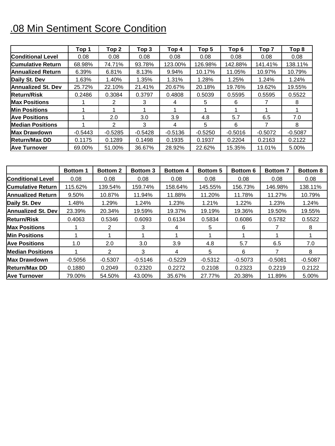# .08 Min Sentiment Score Condition

|                           | Top 1     | Top <sub>2</sub> | Top 3     | Top 4     | Top 5     | Top 6     | Top <sub>7</sub> | Top 8     |
|---------------------------|-----------|------------------|-----------|-----------|-----------|-----------|------------------|-----------|
| <b>Conditional Level</b>  | 0.08      | 0.08             | 0.08      | 0.08      | 0.08      | 0.08      | 0.08             | 0.08      |
| <b>Cumulative Return</b>  | 68.98%    | 74.71%           | 93.78%    | 123.00%   | 126.98%   | 142.88%   | 141.41%          | 138.11%   |
| <b>Annualized Return</b>  | 6.39%     | 6.81%            | 8.13%     | 9.94%     | 10.17%    | 11.05%    | 10.97%           | 10.79%    |
| Daily St. Dev             | 1.63%     | 1.40%            | 1.35%     | 1.31%     | 1.28%     | 1.25%     | 1.24%            | 1.24%     |
| <b>Annualized St. Dev</b> | 25.72%    | 22.10%           | 21.41%    | 20.67%    | 20.18%    | 19.76%    | 19.62%           | 19.55%    |
| <b>Return/Risk</b>        | 0.2486    | 0.3084           | 0.3797    | 0.4808    | 0.5039    | 0.5595    | 0.5595           | 0.5522    |
| <b>Max Positions</b>      |           | 2                | 3         | 4         | 5         | 6         |                  | 8         |
| <b>Min Positions</b>      |           |                  |           |           |           |           |                  |           |
| <b>Ave Positions</b>      |           | 2.0              | 3.0       | 3.9       | 4.8       | 5.7       | 6.5              | 7.0       |
| <b>Median Positions</b>   |           | $\mathcal{P}$    | 3         | 4         | 5         | 6         |                  | 8         |
| <b>Max Drawdown</b>       | $-0.5443$ | $-0.5285$        | $-0.5428$ | $-0.5136$ | $-0.5250$ | $-0.5016$ | $-0.5072$        | $-0.5087$ |
| <b>Return/Max DD</b>      | 0.1175    | 0.1289           | 0.1498    | 0.1935    | 0.1937    | 0.2204    | 0.2163           | 0.2122    |
| <b>Ave Turnover</b>       | 69.00%    | 51.00%           | 36.67%    | 28.92%    | 22.62%    | 15.35%    | 11.01%           | 5.00%     |

|                          | <b>Bottom 1</b> | <b>Bottom 2</b> | <b>Bottom 3</b> | Bottom 4  | <b>Bottom 5</b> | <b>Bottom 6</b> | <b>Bottom 7</b> | <b>Bottom 8</b> |
|--------------------------|-----------------|-----------------|-----------------|-----------|-----------------|-----------------|-----------------|-----------------|
| <b>Conditional Level</b> | 0.08            | 0.08            | 0.08            | 0.08      | 0.08            | 0.08            | 0.08            | 0.08            |
| <b>Cumulative Return</b> | 115.62%         | 139.54%         | 159.74%         | 158.64%   | 145.55%         | 156.73%         | 146.98%         | 138.11%         |
| <b>Annualized Return</b> | 9.50%           | 10.87%          | 11.94%          | 11.88%    | 11.20%          | 11.78%          | 11.27%          | 10.79%          |
| Daily St. Dev            | 1.48%           | 1.29%           | 1.24%           | 1.23%     | 1.21%           | 1.22%           | 1.23%           | 1.24%           |
| Annualized St. Dev       | 23.39%          | 20.34%          | 19.59%          | 19.37%    | 19.19%          | 19.36%          | 19.50%          | 19.55%          |
| lReturn/Risk             | 0.4063          | 0.5346          | 0.6093          | 0.6134    | 0.5834          | 0.6086          | 0.5782          | 0.5522          |
| Max Positions            |                 | 2               | 3               | 4         | 5               | 6               |                 | 8               |
| <b>Min Positions</b>     |                 |                 |                 |           |                 |                 |                 |                 |
| <b>Ave Positions</b>     | 1.0             | 2.0             | 3.0             | 3.9       | 4.8             | 5.7             | 6.5             | 7.0             |
| <b>Median Positions</b>  |                 | $\mathcal{P}$   | 3               | 4         | 5               | 6               | 7               | 8               |
| Max Drawdown             | $-0.5056$       | $-0.5307$       | $-0.5146$       | $-0.5229$ | $-0.5312$       | $-0.5073$       | $-0.5081$       | $-0.5087$       |
| <b>Return/Max DD</b>     | 0.1880          | 0.2049          | 0.2320          | 0.2272    | 0.2108          | 0.2323          | 0.2219          | 0.2122          |
| <b>Ave Turnover</b>      | 79.00%          | 54.50%          | 43.00%          | 35.67%    | 27.77%          | 20.38%          | 11.89%          | 5.00%           |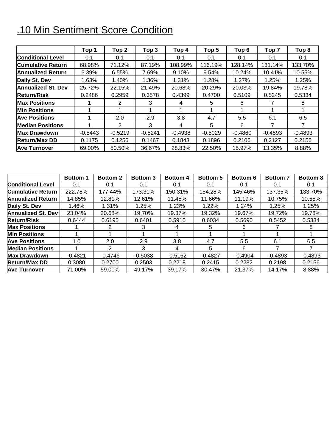# .10 Min Sentiment Score Condition

|                           | Top 1     | Top <sub>2</sub> | Top <sub>3</sub> | Top 4     | Top <sub>5</sub> | Top <sub>6</sub> | Top <sub>7</sub> | Top 8     |
|---------------------------|-----------|------------------|------------------|-----------|------------------|------------------|------------------|-----------|
| <b>Conditional Level</b>  | 0.1       | 0.1              | 0.1              | 0.1       | 0.1              | 0.1              | 0.1              | 0.1       |
| <b>Cumulative Return</b>  | 68.98%    | 71.12%           | 87.19%           | 108.99%   | 116.19%          | 128.14%          | 131.14%          | 133.70%   |
| <b>Annualized Return</b>  | 6.39%     | 6.55%            | 7.69%            | 9.10%     | 9.54%            | 10.24%           | 10.41%           | 10.55%    |
| Daily St. Dev             | 1.63%     | 1.40%            | 1.36%            | 1.31%     | 1.28%            | 1.27%            | 1.25%            | 1.25%     |
| <b>Annualized St. Dev</b> | 25.72%    | 22.15%           | 21.49%           | 20.68%    | 20.29%           | 20.03%           | 19.84%           | 19.78%    |
| <b>Return/Risk</b>        | 0.2486    | 0.2959           | 0.3578           | 0.4399    | 0.4700           | 0.5109           | 0.5245           | 0.5334    |
| <b>Max Positions</b>      |           | $\overline{2}$   | 3                | 4         | 5                | 6                |                  | 8         |
| <b>Min Positions</b>      |           |                  |                  |           |                  |                  |                  |           |
| <b>Ave Positions</b>      |           | 2.0              | 2.9              | 3.8       | 4.7              | 5.5              | 6.1              | 6.5       |
| <b>Median Positions</b>   |           | $\mathcal{P}$    | 3                | 4         | 5                | 6                | 7                |           |
| <b>Max Drawdown</b>       | $-0.5443$ | $-0.5219$        | $-0.5241$        | $-0.4938$ | $-0.5029$        | $-0.4860$        | $-0.4893$        | $-0.4893$ |
| <b>Return/Max DD</b>      | 0.1175    | 0.1256           | 0.1467           | 0.1843    | 0.1896           | 0.2106           | 0.2127           | 0.2156    |
| <b>Ave Turnover</b>       | 69.00%    | 50.50%           | 36.67%           | 28.83%    | 22.50%           | 15.97%           | 13.35%           | 8.88%     |

|                           | <b>Bottom 1</b> | <b>Bottom 2</b> | <b>Bottom 3</b> | <b>Bottom 4</b> | <b>Bottom 5</b> | <b>Bottom 6</b> | <b>Bottom 7</b> | <b>Bottom 8</b> |
|---------------------------|-----------------|-----------------|-----------------|-----------------|-----------------|-----------------|-----------------|-----------------|
| <b>Conditional Level</b>  | 0.1             | 0.1             | 0.1             | 0.1             | 0.1             | 0.1             | 0.1             | 0.1             |
| <b>Cumulative Return</b>  | 222.78%         | 177.44%         | 173.31%         | 150.31%         | 154.28%         | 145.46%         | 137.35%         | 133.70%         |
| Annualized Return         | 14.85%          | 12.81%          | 12.61%          | 11.45%          | 11.66%          | 11.19%          | 10.75%          | 10.55%          |
| Daily St. Dev             | 1.46%           | 1.31%           | 1.25%           | 1.23%           | 1.22%           | 1.24%           | 1.25%           | 1.25%           |
| <b>Annualized St. Dev</b> | 23.04%          | 20.68%          | 19.70%          | 19.37%          | 19.32%          | 19.67%          | 19.72%          | 19.78%          |
| <b>Return/Risk</b>        | 0.6444          | 0.6195          | 0.6401          | 0.5910          | 0.6034          | 0.5690          | 0.5452          | 0.5334          |
| <b>Max Positions</b>      |                 | 2               | 3               | 4               | 5               | 6               |                 |                 |
| Min Positions             |                 |                 |                 |                 |                 |                 |                 |                 |
| <b>Ave Positions</b>      | 1.0             | 2.0             | 2.9             | 3.8             | 4.7             | 5.5             | 6.1             | 6.5             |
| <b>Median Positions</b>   |                 | $\mathcal{P}$   | 3               | 4               | 5               | 6               |                 |                 |
| lMax Drawdown             | $-0.4821$       | $-0.4746$       | $-0.5038$       | $-0.5162$       | $-0.4827$       | $-0.4904$       | $-0.4893$       | $-0.4893$       |
| <b>Return/Max DD</b>      | 0.3080          | 0.2700          | 0.2503          | 0.2218          | 0.2415          | 0.2282          | 0.2198          | 0.2156          |
| lAve Turnover             | 71.00%          | 59.00%          | 49.17%          | 39.17%          | 30.47%          | 21.37%          | 14.17%          | 8.88%           |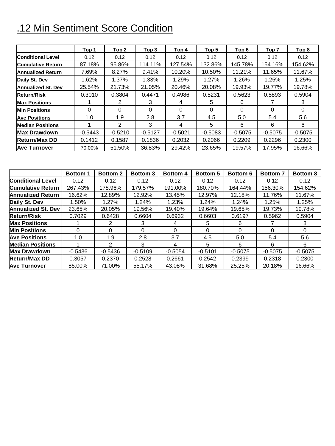# .12 Min Sentiment Score Condition

|                           | Top 1     | Top 2         | Top 3     | Top 4     | Top 5     | Top 6     | Top <sub>7</sub> | Top 8     |
|---------------------------|-----------|---------------|-----------|-----------|-----------|-----------|------------------|-----------|
| <b>Conditional Level</b>  | 0.12      | 0.12          | 0.12      | 0.12      | 0.12      | 0.12      | 0.12             | 0.12      |
| <b>Cumulative Return</b>  | 87.18%    | 95.86%        | 114.11%   | 127.54%   | 132.86%   | 145.78%   | 154.16%          | 154.62%   |
| <b>Annualized Return</b>  | 7.69%     | 8.27%         | 9.41%     | 10.20%    | 10.50%    | 11.21%    | 11.65%           | 11.67%    |
| Daily St. Dev             | 1.62%     | 1.37%         | 1.33%     | 1.29%     | 1.27%     | 1.26%     | 1.25%            | 1.25%     |
| <b>Annualized St. Dev</b> | 25.54%    | 21.73%        | 21.05%    | 20.46%    | 20.08%    | 19.93%    | 19.77%           | 19.78%    |
| <b>Return/Risk</b>        | 0.3010    | 0.3804        | 0.4471    | 0.4986    | 0.5231    | 0.5623    | 0.5893           | 0.5904    |
| <b>Max Positions</b>      |           | 2             | 3         | 4         | 5         | 6         |                  | 8         |
| <b>Min Positions</b>      | 0         | 0             | 0         | 0         | $\Omega$  | $\Omega$  | 0                | 0         |
| <b>Ave Positions</b>      | 1.0       | 1.9           | 2.8       | 3.7       | 4.5       | 5.0       | 5.4              | 5.6       |
| <b>Median Positions</b>   |           | $\mathcal{P}$ | 3         | 4         | 5         | 6         | 6                | 6         |
| <b>Max Drawdown</b>       | $-0.5443$ | $-0.5210$     | $-0.5127$ | $-0.5021$ | $-0.5083$ | $-0.5075$ | $-0.5075$        | $-0.5075$ |
| <b>Return/Max DD</b>      | 0.1412    | 0.1587        | 0.1836    | 0.2032    | 0.2066    | 0.2209    | 0.2296           | 0.2300    |
| <b>Ave Turnover</b>       | 70.00%    | 51.50%        | 36.83%    | 29.42%    | 23.65%    | 19.57%    | 17.95%           | 16.66%    |

|                           | <b>Bottom 1</b> | <b>Bottom 2</b> | <b>Bottom 3</b> | <b>Bottom 4</b> | <b>Bottom 5</b> | <b>Bottom 6</b> | <b>Bottom 7</b> | <b>Bottom 8</b> |
|---------------------------|-----------------|-----------------|-----------------|-----------------|-----------------|-----------------|-----------------|-----------------|
| <b>Conditional Level</b>  | 0.12            | 0.12            | 0.12            | 0.12            | 0.12            | 0.12            | 0.12            | 0.12            |
| <b>Cumulative Return</b>  | 267.43%         | 178.96%         | 179.57%         | 191.00%         | 180.70%         | 164.44%         | 156.30%         | 154.62%         |
| <b>Annualized Return</b>  | 16.62%          | 12.89%          | 12.92%          | 13.45%          | 12.97%          | 12.18%          | 11.76%          | 11.67%          |
| Daily St. Dev             | 1.50%           | 1.27%           | 1.24%           | 1.23%           | 1.24%           | 1.24%           | 1.25%           | 1.25%           |
| <b>Annualized St. Dev</b> | 23.65%          | 20.05%          | 19.56%          | 19.40%          | 19.64%          | 19.65%          | 19.73%          | 19.78%          |
| <b>Return/Risk</b>        | 0.7029          | 0.6428          | 0.6604          | 0.6932          | 0.6603          | 0.6197          | 0.5962          | 0.5904          |
| <b>Max Positions</b>      |                 | 2               | 3               | 4               | 5               | 6               |                 | 8               |
| <b>Min Positions</b>      | 0               | 0               | 0               | 0               | 0               | 0               |                 | 0               |
| <b>Ave Positions</b>      | 1.0             | 1.9             | 2.8             | 3.7             | 4.5             | 5.0             | 5.4             | 5.6             |
| <b>Median Positions</b>   |                 | 2               | 3               | 4               | 5               | 6               | 6               | 6               |
| <b>Max Drawdown</b>       | $-0.5436$       | $-0.5436$       | $-0.5109$       | $-0.5054$       | $-0.5101$       | $-0.5075$       | $-0.5075$       | $-0.5075$       |
| <b>Return/Max DD</b>      | 0.3057          | 0.2370          | 0.2528          | 0.2661          | 0.2542          | 0.2399          | 0.2318          | 0.2300          |
| <b>Ave Turnover</b>       | 85.00%          | 71.00%          | 55.17%          | 43.08%          | 31.68%          | 25.25%          | 20.18%          | 16.66%          |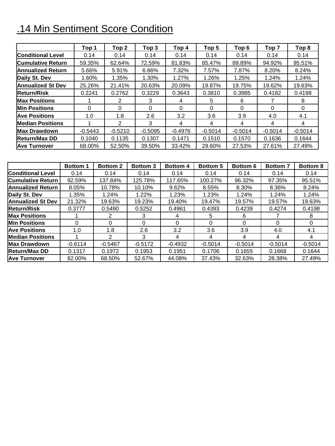# .14 Min Sentiment Score Condition

|                          | Top 1     | Top 2         | Top <sub>3</sub> | Top 4     | Top 5     | Top 6     | Top <sub>7</sub> | Top 8     |
|--------------------------|-----------|---------------|------------------|-----------|-----------|-----------|------------------|-----------|
| <b>Conditional Level</b> | 0.14      | 0.14          | 0.14             | 0.14      | 0.14      | 0.14      | 0.14             | 0.14      |
| <b>Cumulative Return</b> | 59.35%    | 62.64%        | 72.59%           | 81.83%    | 85.47%    | 89.89%    | 94.92%           | 95.51%    |
| <b>Annualized Return</b> | 5.66%     | 5.91%         | 6.66%            | 7.32%     | 7.57%     | 7.87%     | 8.20%            | 8.24%     |
| Daily St. Dev            | 1.60%     | 1.35%         | 1.30%            | 1.27%     | 1.26%     | 1.25%     | 1.24%            | 1.24%     |
| <b>Annualized St Dev</b> | 25.26%    | 21.41%        | 20.63%           | 20.09%    | 19.87%    | 19.75%    | 19.62%           | 19.63%    |
| <b>Return/Risk</b>       | 0.2241    | 0.2762        | 0.3229           | 0.3643    | 0.3810    | 0.3985    | 0.4182           | 0.4198    |
| <b>Max Positions</b>     |           | 2             | 3                | 4         | 5         | 6         |                  | 8         |
| <b>Min Positions</b>     | 0         | 0             | 0                | 0         | 0         | 0         | 0                | 0         |
| <b>Ave Positions</b>     | 1.0       | 1.8           | 2.6              | 3.2       | 3.6       | 3.9       | 4.0              | 4.1       |
| <b>Median Positions</b>  |           | $\mathcal{P}$ | 3                | 4         | 4         | 4         | 4                | 4         |
| <b>Max Drawdown</b>      | $-0.5443$ | $-0.5210$     | $-0.5095$        | $-0.4976$ | $-0.5014$ | $-0.5014$ | $-0.5014$        | $-0.5014$ |
| <b>Return/Max DD</b>     | 0.1040    | 0.1135        | 0.1307           | 0.1471    | 0.1510    | 0.1570    | 0.1636           | 0.1644    |
| <b>Ave Turnover</b>      | 68.00%    | 52.50%        | 39.50%           | 33.42%    | 29.60%    | 27.53%    | 27.61%           | 27.49%    |

|                          | <b>Bottom 1</b> | <b>Bottom 2</b> | <b>Bottom 3</b> | <b>Bottom 4</b> | <b>Bottom 5</b> | <b>Bottom 6</b> | <b>Bottom 7</b> | <b>Bottom 8</b> |
|--------------------------|-----------------|-----------------|-----------------|-----------------|-----------------|-----------------|-----------------|-----------------|
| <b>Conditional Level</b> | 0.14            | 0.14            | 0.14            | 0.14            | 0.14            | 0.14            | 0.14            | 0.14            |
| <b>Cumulative Return</b> | 92.59%          | 137.84%         | 125.78%         | 117.65%         | 100.27%         | 96.32%          | 97.35%          | 95.51%          |
| <b>Annualized Return</b> | 8.05%           | 10.78%          | 10.10%          | 9.62%           | 8.55%           | 8.30%           | 8.36%           | 8.24%           |
| Daily St. Dev            | 1.35%           | 1.24%           | 1.22%           | 1.23%           | 1.23%           | 1.24%           | 1.24%           | 1.24%           |
| <b>Annualized St Dev</b> | 21.32%          | 19.63%          | 19.23%          | 19.40%          | 19.47%          | 19.57%          | 19.57%          | 19.63%          |
| <b>Return/Risk</b>       | 0.3777          | 0.5490          | 0.5252          | 0.4961          | 0.4393          | 0.4239          | 0.4274          | 0.4198          |
| <b>Max Positions</b>     |                 | 2               | 3               | 4               | 5               | 6               |                 | 8               |
| <b>Min Positions</b>     | 0               | 0               | 0               | 0               | $\Omega$        | 0               | 0               | 0               |
| <b>Ave Positions</b>     | 1.0             | 1.8             | $2.6\,$         | 3.2             | 3.6             | 3.9             | 4.0             | 4.1             |
| <b>Median Positions</b>  |                 | 2               | 3               | 4               | 4               | 4               | 4               | 4               |
| <b>Max Drawdown</b>      | $-0.6114$       | $-0.5467$       | $-0.5172$       | $-0.4932$       | $-0.5014$       | $-0.5014$       | $-0.5014$       | $-0.5014$       |
| <b>Return/Max DD</b>     | 0.1317          | 0.1972          | 0.1953          | 0.1951          | 0.1706          | 0.1655          | 0.1668          | 0.1644          |
| <b>Ave Turnover</b>      | 82.00%          | 68.50%          | 52.67%          | 44.08%          | 37.43%          | 32.63%          | 28.38%          | 27.49%          |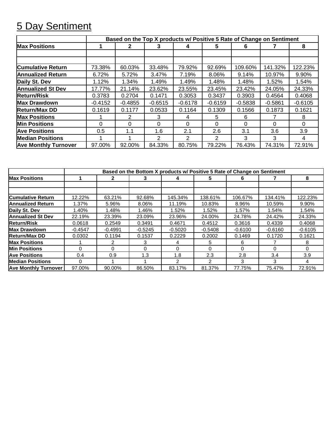#### 5 Day Sentiment

|                             | Based on the Top X products w/ Positive 5 Rate of Change on Sentiment |           |           |           |           |           |           |           |  |  |  |
|-----------------------------|-----------------------------------------------------------------------|-----------|-----------|-----------|-----------|-----------|-----------|-----------|--|--|--|
| <b>Max Positions</b>        |                                                                       | 2         |           | 4         | 5         | 6         |           | 8         |  |  |  |
|                             |                                                                       |           |           |           |           |           |           |           |  |  |  |
|                             |                                                                       |           |           |           |           |           |           |           |  |  |  |
| <b>Cumulative Return</b>    | 73.38%                                                                | 60.03%    | 33.48%    | 79.92%    | 92.69%    | 109.60%   | 141.32%   | 122.23%   |  |  |  |
| <b>Annualized Return</b>    | 6.72%                                                                 | 5.72%     | 3.47%     | 7.19%     | 8.06%     | 9.14%     | 10.97%    | 9.90%     |  |  |  |
| Daily St. Dev               | 1.12%                                                                 | 1.34%     | 1.49%     | 1.49%     | 1.48%     | 1.48%     | 1.52%     | 1.54%     |  |  |  |
| <b>Annualized St Dev</b>    | 17.77%                                                                | 21.14%    | 23.62%    | 23.55%    | 23.45%    | 23.42%    | 24.05%    | 24.33%    |  |  |  |
| <b>Return/Risk</b>          | 0.3783                                                                | 0.2704    | 0.1471    | 0.3053    | 0.3437    | 0.3903    | 0.4564    | 0.4068    |  |  |  |
| <b>Max Drawdown</b>         | $-0.4152$                                                             | $-0.4855$ | $-0.6515$ | $-0.6178$ | $-0.6159$ | $-0.5838$ | $-0.5861$ | $-0.6105$ |  |  |  |
| <b>Return/Max DD</b>        | 0.1619                                                                | 0.1177    | 0.0533    | 0.1164    | 0.1309    | 0.1566    | 0.1873    | 0.1621    |  |  |  |
| <b>Max Positions</b>        |                                                                       | 2         | 3         | 4         | 5         | 6         |           | 8         |  |  |  |
| <b>Min Positions</b>        | 0                                                                     | 0         | 0         | 0         | 0         | 0         | 0         | 0         |  |  |  |
| <b>Ave Positions</b>        | 0.5                                                                   | 1.1       | 1.6       | 2.1       | 2.6       | 3.1       | 3.6       | 3.9       |  |  |  |
| <b>Median Positions</b>     |                                                                       |           | 2         | 2         | 2         | 3         | 3         | 4         |  |  |  |
| <b>Ave Monthly Turnover</b> | 97.00%                                                                | 92.00%    | 84.33%    | 80.75%    | 79.22%    | 76.43%    | 74.31%    | 72.91%    |  |  |  |

|                             | Based on the Bottom X products w/ Positive 5 Rate of Change on Sentiment |              |           |           |           |           |           |              |  |
|-----------------------------|--------------------------------------------------------------------------|--------------|-----------|-----------|-----------|-----------|-----------|--------------|--|
| <b>Max Positions</b>        |                                                                          | $\mathbf{p}$ | 3         | 4         | 5.        | 6         |           | 8            |  |
|                             |                                                                          |              |           |           |           |           |           |              |  |
|                             |                                                                          |              |           |           |           |           |           |              |  |
| <b>Cumulative Return</b>    | 12.22%                                                                   | 63.21%       | 92.68%    | 145.34%   | 138.61%   | 106.67%   | 134.41%   | 122.23%      |  |
| <b>Annualized Return</b>    | 1.37%                                                                    | 5.96%        | 8.06%     | 11.19%    | 10.83%    | 8.96%     | 10.59%    | 9.90%        |  |
| Daily St. Dev               | 1.40%                                                                    | 1.48%        | 1.46%     | 1.52%     | 1.52%     | 1.57%     | 1.54%     | 1.54%        |  |
| <b>Annualized St Dev</b>    | 22.19%                                                                   | 23.39%       | 23.09%    | 23.96%    | 24.00%    | 24.78%    | 24.42%    | 24.33%       |  |
| <b>Return/Risk</b>          | 0.0618                                                                   | 0.2549       | 0.3491    | 0.4671    | 0.4512    | 0.3616    | 0.4339    | 0.4068       |  |
| Max Drawdown                | $-0.4547$                                                                | $-0.4991$    | $-0.5245$ | $-0.5020$ | $-0.5408$ | $-0.6100$ | $-0.6160$ | $-0.6105$    |  |
| <b>Return/Max DD</b>        | 0.0302                                                                   | 0.1194       | 0.1537    | 0.2229    | 0.2002    | 0.1469    | 0.1720    | 0.1621       |  |
| <b>Max Positions</b>        |                                                                          | 2            | 3         | 4         | 5.        | 6         |           | 8            |  |
| Min Positions               | $\Omega$                                                                 | $\Omega$     | $\Omega$  | 0         | $\Omega$  | $\Omega$  | 0         | <sup>0</sup> |  |
| <b>Ave Positions</b>        | 0.4                                                                      | 0.9          | 1.3       | 1.8       | 2.3       | 2.8       | 3.4       | 3.9          |  |
| <b>Median Positions</b>     | 0                                                                        |              |           | 2         | 2         | 3         | 3         | 4            |  |
| <b>Ave Monthly Turnover</b> | 97.00%                                                                   | 90.00%       | 86.50%    | 83.17%    | 81.37%    | 77.75%    | 75.47%    | 72.91%       |  |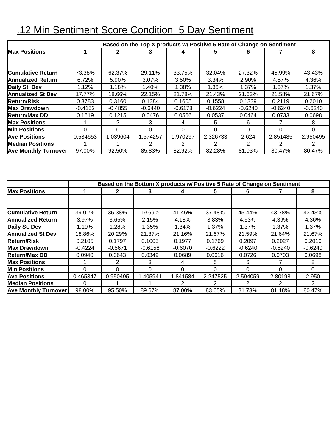|                             | Based on the Top X products w/ Positive 5 Rate of Change on Sentiment |              |           |           |           |           |           |           |  |  |  |
|-----------------------------|-----------------------------------------------------------------------|--------------|-----------|-----------|-----------|-----------|-----------|-----------|--|--|--|
| <b>Max Positions</b>        |                                                                       | $\mathbf{2}$ |           | 4         | 5         | 6         |           | 8         |  |  |  |
|                             |                                                                       |              |           |           |           |           |           |           |  |  |  |
|                             |                                                                       |              |           |           |           |           |           |           |  |  |  |
| <b>Cumulative Return</b>    | 73.38%                                                                | 62.37%       | 29.11%    | 33.75%    | 32.04%    | 27.32%    | 45.99%    | 43.43%    |  |  |  |
| <b>Annualized Return</b>    | 6.72%                                                                 | 5.90%        | 3.07%     | 3.50%     | 3.34%     | 2.90%     | 4.57%     | 4.36%     |  |  |  |
| Daily St. Dev               | 1.12%                                                                 | 1.18%        | 1.40%     | 1.38%     | 1.36%     | 1.37%     | 1.37%     | 1.37%     |  |  |  |
| <b>Annualized St Dev</b>    | 17.77%                                                                | 18.66%       | 22.15%    | 21.78%    | 21.43%    | 21.63%    | 21.58%    | 21.67%    |  |  |  |
| <b>Return/Risk</b>          | 0.3783                                                                | 0.3160       | 0.1384    | 0.1605    | 0.1558    | 0.1339    | 0.2119    | 0.2010    |  |  |  |
| <b>Max Drawdown</b>         | $-0.4152$                                                             | $-0.4855$    | $-0.6440$ | $-0.6178$ | $-0.6224$ | $-0.6240$ | $-0.6240$ | $-0.6240$ |  |  |  |
| <b>Return/Max DD</b>        | 0.1619                                                                | 0.1215       | 0.0476    | 0.0566    | 0.0537    | 0.0464    | 0.0733    | 0.0698    |  |  |  |
| <b>Max Positions</b>        |                                                                       |              | 3         | 4         | 5         | 6         |           | 8         |  |  |  |
| <b>Min Positions</b>        | 0                                                                     | 0            | ∩         | $\Omega$  | $\Omega$  | $\Omega$  | 0         | 0         |  |  |  |
| <b>Ave Positions</b>        | 0.534653                                                              | 1.039604     | 1.574257  | 1.970297  | 2.326733  | 2.624     | 2.851485  | 2.950495  |  |  |  |
| <b>Median Positions</b>     |                                                                       |              |           | 2         | 2         | 2         | 2         |           |  |  |  |
| <b>Ave Monthly Turnover</b> | 97.00%                                                                | 92.50%       | 85.83%    | 82.92%    | 82.28%    | 81.03%    | 80.47%    | 80.47%    |  |  |  |

# .12 Min Sentiment Score Condition 5 Day Sentiment

|                             | Based on the Bottom X products w/ Positive 5 Rate of Change on Sentiment |              |           |           |              |           |           |           |
|-----------------------------|--------------------------------------------------------------------------|--------------|-----------|-----------|--------------|-----------|-----------|-----------|
| <b>Max Positions</b>        |                                                                          | $\mathbf{2}$ |           |           | 5.           | 6         |           | 8         |
|                             |                                                                          |              |           |           |              |           |           |           |
|                             |                                                                          |              |           |           |              |           |           |           |
| <b>Cumulative Return</b>    | 39.01%                                                                   | 35.38%       | 19.69%    | 41.46%    | 37.48%       | 45.44%    | 43.78%    | 43.43%    |
| <b>Annualized Return</b>    | 3.97%                                                                    | 3.65%        | 2.15%     | 4.18%     | 3.83%        | 4.53%     | 4.39%     | 4.36%     |
| Daily St. Dev               | 1.19%                                                                    | 1.28%        | 1.35%     | 1.34%     | 1.37%        | 1.37%     | 1.37%     | 1.37%     |
| <b>Annualized St Dev</b>    | 18.86%                                                                   | 20.29%       | 21.37%    | 21.16%    | 21.67%       | 21.59%    | 21.64%    | 21.67%    |
| <b>Return/Risk</b>          | 0.2105                                                                   | 0.1797       | 0.1005    | 0.1977    | 0.1769       | 0.2097    | 0.2027    | 0.2010    |
| <b>Max Drawdown</b>         | $-0.4224$                                                                | $-0.5671$    | $-0.6158$ | $-0.6070$ | $-0.6222$    | $-0.6240$ | $-0.6240$ | $-0.6240$ |
| <b>Return/Max DD</b>        | 0.0940                                                                   | 0.0643       | 0.0349    | 0.0689    | 0.0616       | 0.0726    | 0.0703    | 0.0698    |
| <b>Max Positions</b>        |                                                                          | 2            | 3         | 4         | 5.           | 6         |           | 8         |
| <b>Min Positions</b>        | 0                                                                        | 0            | 0         | 0         | <sup>0</sup> | $\Omega$  | 0         | 0         |
| <b>Ave Positions</b>        | 0.465347                                                                 | 0.950495     | 1.405941  | 1.841584  | 2.247525     | 2.594059  | 2.80198   | 2.950     |
| <b>Median Positions</b>     | 0                                                                        |              |           |           | 2            |           | 2         | 2         |
| <b>Ave Monthly Turnover</b> | 98.00%                                                                   | 95.50%       | 89.67%    | 87.00%    | 83.05%       | 81.73%    | 81.18%    | 80.47%    |